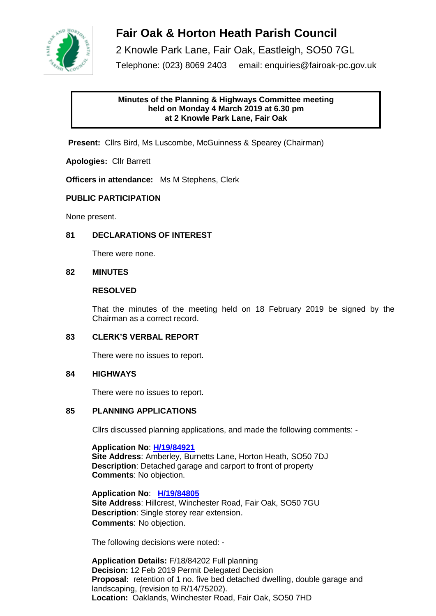

# **Fair Oak & Horton Heath Parish Council**

2 Knowle Park Lane, Fair Oak, Eastleigh, SO50 7GL Telephone: (023) 8069 2403 email: enquiries@fairoak-pc.gov.uk

### **Minutes of the Planning & Highways Committee meeting held on Monday 4 March 2019 at 6.30 pm at 2 Knowle Park Lane, Fair Oak**

**Present:** Cllrs Bird, Ms Luscombe, McGuinness & Spearey (Chairman)

**Apologies:** Cllr Barrett

**Officers in attendance:** Ms M Stephens, Clerk

#### **PUBLIC PARTICIPATION**

None present.

#### **81 DECLARATIONS OF INTEREST**

There were none.

#### **82 MINUTES**

#### **RESOLVED**

That the minutes of the meeting held on 18 February 2019 be signed by the Chairman as a correct record.

#### **83 CLERK'S VERBAL REPORT**

There were no issues to report.

#### **84 HIGHWAYS**

There were no issues to report.

#### **85 PLANNING APPLICATIONS**

Cllrs discussed planning applications, and made the following comments: -

**Application No**: **[H/19/84921](https://planning.eastleigh.gov.uk/s/papplication/a1M1v000005rgnH) Site Address**: Amberley, Burnetts Lane, Horton Heath, SO50 7DJ **Description**: Detached garage and carport to front of property  **Comments**: No objection.

**Application No**: **[H/19/84805](https://planning.eastleigh.gov.uk/s/papplication/a1M1v000004Iu3w) Site Address**: Hillcrest, Winchester Road, Fair Oak, SO50 7GU **Description**: Single storey rear extension.  **Comments**: No objection.

The following decisions were noted: -

**Application Details:** F/18/84202 Full planning **Decision:** 12 Feb 2019 Permit Delegated Decision **Proposal:** retention of 1 no. five bed detached dwelling, double garage and landscaping, (revision to R/14/75202). **Location:** Oaklands, Winchester Road, Fair Oak, SO50 7HD